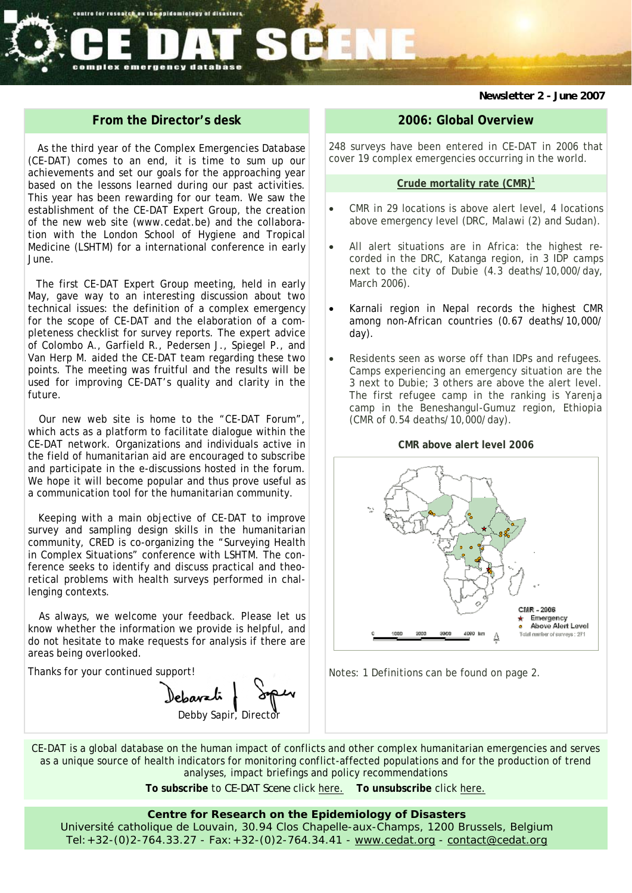# emergency database complex

*Newsletter 2 - June 2007* 

# **From the Director's desk**

centre for research on the spidemiology of disasters

As the third year of the Complex Emergencies Database (CE-DAT) comes to an end, it is time to sum up our achievements and set our goals for the approaching year based on the lessons learned during our past activities. This year has been rewarding for our team. We saw the establishment of the CE-DAT Expert Group, the creation of the new web site (www.cedat.be) and the collaboration with the London School of Hygiene and Tropical Medicine (LSHTM) for a international conference in early June.

The first CE-DAT Expert Group meeting, held in early May, gave way to an interesting discussion about two technical issues: the definition of a complex emergency for the scope of CE-DAT and the elaboration of a completeness checklist for survey reports. The expert advice of Colombo A., Garfield R., Pedersen J., Spiegel P., and Van Herp M. aided the CE-DAT team regarding these two points. The meeting was fruitful and the results will be used for improving CE-DAT's quality and clarity in the future.

Our new web site is home to the "CE-DAT Forum", which acts as a platform to facilitate dialogue within the CE-DAT network. Organizations and individuals active in the field of humanitarian aid are encouraged to subscribe and participate in the e-discussions hosted in the forum. We hope it will become popular and thus prove useful as a communication tool for the humanitarian community.

Keeping with a main objective of CE-DAT to improve survey and sampling design skills in the humanitarian community, CRED is co-organizing the "Surveying Health in Complex Situations" conference with LSHTM. The conference seeks to identify and discuss practical and theoretical problems with health surveys performed in challenging contexts.

As always, we welcome your feedback. Please let us know whether the information we provide is helpful, and do not hesitate to make requests for analysis if there are areas being overlooked.

Thanks for your continued support!

lebavati Debby Sapir, Director

## **2006: Global Overview**

248 surveys have been entered in CE-DAT in 2006 that cover 19 complex emergencies occurring in the world.

#### **Crude mortality rate (CMR)1**

- CMR in 29 locations is above alert level, 4 locations above emergency level (DRC, Malawi (2) and Sudan).
- All alert situations are in Africa: the highest recorded in the DRC, Katanga region, in 3 IDP camps next to the city of Dubie (4.3 deaths/10,000/day, March 2006).
- Karnali region in Nepal records the highest CMR among non-African countries (0.67 deaths/10,000/ day).
- Residents seen as worse off than IDPs and refugees. Camps experiencing an emergency situation are the 3 next to Dubie; 3 others are above the alert level. The first refugee camp in the ranking is Yarenja camp in the Beneshangul-Gumuz region, Ethiopia (CMR of 0.54 deaths/10,000/day).

#### **CMR above alert level 2006**



Notes: 1 Definitions can be found on page 2.

CE-DAT is a global database on the human impact of conflicts and other complex humanitarian emergencies and serves as a unique source of health indicators for monitoring conflict-affected populations and for the production of trend analyses, impact briefings and policy recommendations

**To subscribe** to *CE-DAT Scene* click here. **To unsubscribe** click here.

### **Centre for Research on the Epidemiology of Disasters**

Université catholique de Louvain, 30.94 Clos Chapelle-aux-Champs, 1200 Brussels, Belgium Tel:+32-(0)2-764.33.27 - Fax:+32-(0)2-764.34.41 - www.cedat.org - contact@cedat.org